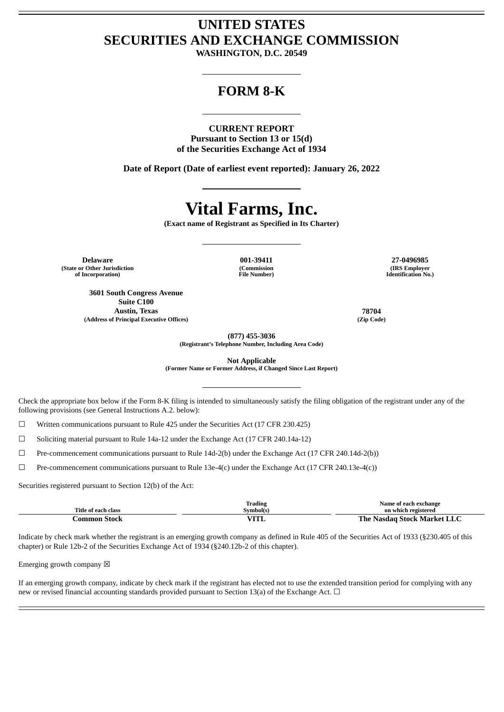# **UNITED STATES SECURITIES AND EXCHANGE COMMISSION**

**WASHINGTON, D.C. 20549**

## **FORM 8-K**

#### **CURRENT REPORT**

**Pursuant to Section 13 or 15(d) of the Securities Exchange Act of 1934**

**Date of Report (Date of earliest event reported): January 26, 2022**

# **Vital Farms, Inc.**

**(Exact name of Registrant as Specified in Its Charter)**

**Delaware 001-39411 27-0496985 (State or Other Jurisdiction of Incorporation)**

**3601 South Congress Avenue Suite C100 Austin, Texas 78704 (Address of Principal Executive Offices) (Zip Code)**

**(Commission File Number)**

**(IRS Employer Identification No.)**

**(877) 455-3036**

**(Registrant's Telephone Number, Including Area Code)**

**Not Applicable**

**(Former Name or Former Address, if Changed Since Last Report)**

Check the appropriate box below if the Form 8-K filing is intended to simultaneously satisfy the filing obligation of the registrant under any of the following provisions (see General Instructions A.2. below):

 $\Box$  Written communications pursuant to Rule 425 under the Securities Act (17 CFR 230.425)

☐ Soliciting material pursuant to Rule 14a-12 under the Exchange Act (17 CFR 240.14a-12)

☐ Pre-commencement communications pursuant to Rule 14d-2(b) under the Exchange Act (17 CFR 240.14d-2(b))

 $\Box$  Pre-commencement communications pursuant to Rule 13e-4(c) under the Exchange Act (17 CFR 240.13e-4(c))

Securities registered pursuant to Section 12(b) of the Act:

|                     | <b>Trading</b>        | Name of each exchange                     |
|---------------------|-----------------------|-------------------------------------------|
| Title of each class | Symbol(s)             | on which registered                       |
| .ommon<br>stock     | $\tau$ $\tau$<br>11 L | Stock Market I<br>`he<br>saac<br>NdN<br>. |

Indicate by check mark whether the registrant is an emerging growth company as defined in Rule 405 of the Securities Act of 1933 (§230.405 of this chapter) or Rule 12b-2 of the Securities Exchange Act of 1934 (§240.12b-2 of this chapter).

Emerging growth company  $\boxtimes$ 

If an emerging growth company, indicate by check mark if the registrant has elected not to use the extended transition period for complying with any new or revised financial accounting standards provided pursuant to Section 13(a) of the Exchange Act.  $\Box$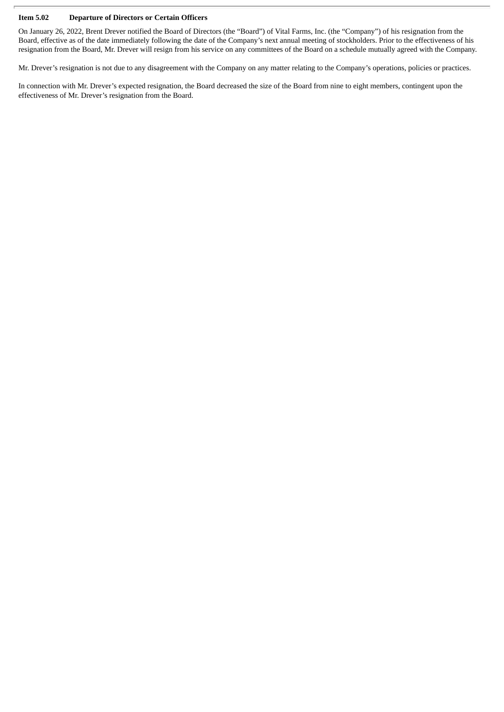#### **Item 5.02 Departure of Directors or Certain Officers**

On January 26, 2022, Brent Drever notified the Board of Directors (the "Board") of Vital Farms, Inc. (the "Company") of his resignation from the Board, effective as of the date immediately following the date of the Company's next annual meeting of stockholders. Prior to the effectiveness of his resignation from the Board, Mr. Drever will resign from his service on any committees of the Board on a schedule mutually agreed with the Company.

Mr. Drever's resignation is not due to any disagreement with the Company on any matter relating to the Company's operations, policies or practices.

In connection with Mr. Drever's expected resignation, the Board decreased the size of the Board from nine to eight members, contingent upon the effectiveness of Mr. Drever's resignation from the Board.